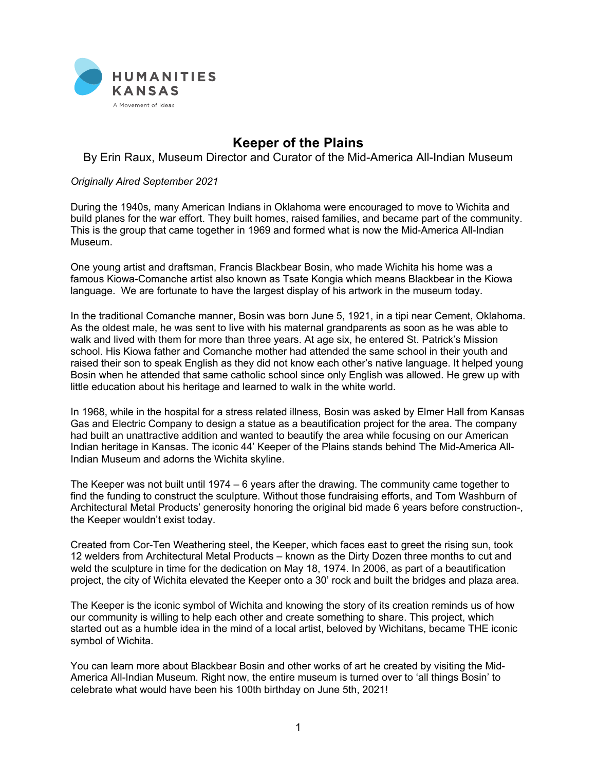

## **Keeper of the Plains**

By Erin Raux, Museum Director and Curator of the Mid-America All-Indian Museum

## *Originally Aired September 2021*

During the 1940s, many American Indians in Oklahoma were encouraged to move to Wichita and build planes for the war effort. They built homes, raised families, and became part of the community. This is the group that came together in 1969 and formed what is now the Mid-America All-Indian Museum.

One young artist and draftsman, Francis Blackbear Bosin, who made Wichita his home was a famous Kiowa-Comanche artist also known as Tsate Kongia which means Blackbear in the Kiowa language. We are fortunate to have the largest display of his artwork in the museum today.

In the traditional Comanche manner, Bosin was born June 5, 1921, in a tipi near Cement, Oklahoma. As the oldest male, he was sent to live with his maternal grandparents as soon as he was able to walk and lived with them for more than three years. At age six, he entered St. Patrick's Mission school. His Kiowa father and Comanche mother had attended the same school in their youth and raised their son to speak English as they did not know each other's native language. It helped young Bosin when he attended that same catholic school since only English was allowed. He grew up with little education about his heritage and learned to walk in the white world.

In 1968, while in the hospital for a stress related illness, Bosin was asked by Elmer Hall from Kansas Gas and Electric Company to design a statue as a beautification project for the area. The company had built an unattractive addition and wanted to beautify the area while focusing on our American Indian heritage in Kansas. The iconic 44' Keeper of the Plains stands behind The Mid-America All-Indian Museum and adorns the Wichita skyline.

The Keeper was not built until 1974 – 6 years after the drawing. The community came together to find the funding to construct the sculpture. Without those fundraising efforts, and Tom Washburn of Architectural Metal Products' generosity honoring the original bid made 6 years before construction-, the Keeper wouldn't exist today.

Created from Cor-Ten Weathering steel, the Keeper, which faces east to greet the rising sun, took 12 welders from Architectural Metal Products – known as the Dirty Dozen three months to cut and weld the sculpture in time for the dedication on May 18, 1974. In 2006, as part of a beautification project, the city of Wichita elevated the Keeper onto a 30' rock and built the bridges and plaza area.

The Keeper is the iconic symbol of Wichita and knowing the story of its creation reminds us of how our community is willing to help each other and create something to share. This project, which started out as a humble idea in the mind of a local artist, beloved by Wichitans, became THE iconic symbol of Wichita.

You can learn more about Blackbear Bosin and other works of art he created by visiting the Mid-America All-Indian Museum. Right now, the entire museum is turned over to 'all things Bosin' to celebrate what would have been his 100th birthday on June 5th, 2021!